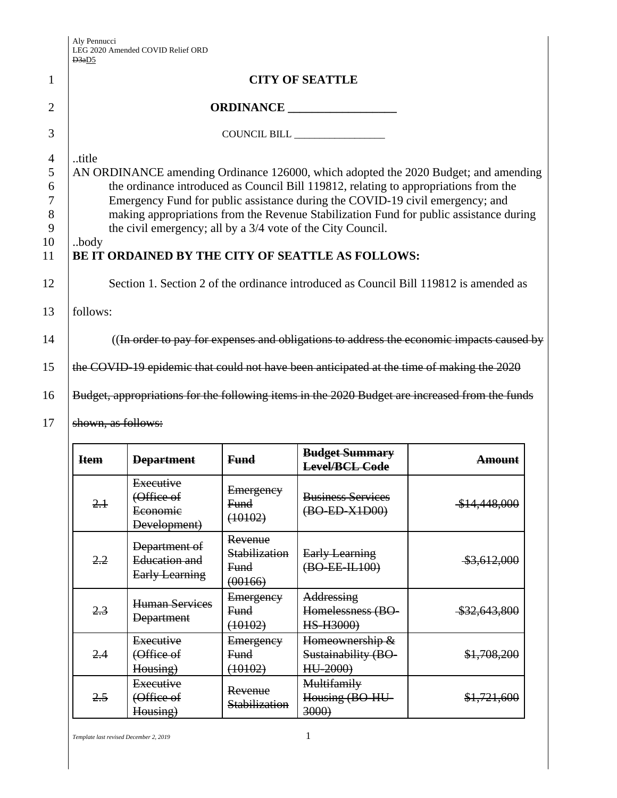Aly Pennucci LEG 2020 Amended COVID Relief ORD

|                                                                | D <sub>3a</sub> D <sub>5</sub>                                                                                                                                                                                                                                                                                                                                                                                                                                                                                                                                                       |
|----------------------------------------------------------------|--------------------------------------------------------------------------------------------------------------------------------------------------------------------------------------------------------------------------------------------------------------------------------------------------------------------------------------------------------------------------------------------------------------------------------------------------------------------------------------------------------------------------------------------------------------------------------------|
| 1                                                              | <b>CITY OF SEATTLE</b>                                                                                                                                                                                                                                                                                                                                                                                                                                                                                                                                                               |
| $\overline{2}$                                                 |                                                                                                                                                                                                                                                                                                                                                                                                                                                                                                                                                                                      |
| 3                                                              |                                                                                                                                                                                                                                                                                                                                                                                                                                                                                                                                                                                      |
| $\overline{4}$<br>5<br>6<br>$\tau$<br>8<br>9<br>10<br>11<br>12 | title<br>AN ORDINANCE amending Ordinance 126000, which adopted the 2020 Budget; and amending<br>the ordinance introduced as Council Bill 119812, relating to appropriations from the<br>Emergency Fund for public assistance during the COVID-19 civil emergency; and<br>making appropriations from the Revenue Stabilization Fund for public assistance during<br>the civil emergency; all by a 3/4 vote of the City Council.<br>body<br>BE IT ORDAINED BY THE CITY OF SEATTLE AS FOLLOWS:<br>Section 1. Section 2 of the ordinance introduced as Council Bill 119812 is amended as |
| 13                                                             | follows:                                                                                                                                                                                                                                                                                                                                                                                                                                                                                                                                                                             |
| 14                                                             | ((In order to pay for expenses and obligations to address the economic impacts caused by                                                                                                                                                                                                                                                                                                                                                                                                                                                                                             |
| 15                                                             | the COVID-19 epidemic that could not have been anticipated at the time of making the 2020                                                                                                                                                                                                                                                                                                                                                                                                                                                                                            |
| 16                                                             | Budget, appropriations for the following items in the 2020 Budget are increased from the funds                                                                                                                                                                                                                                                                                                                                                                                                                                                                                       |
| 17                                                             | shown, as follows:                                                                                                                                                                                                                                                                                                                                                                                                                                                                                                                                                                   |

| <b>Item</b> | <b>Department</b>                                       | <b>Fund</b>                                        | <b>Budget Summary</b><br>Level/BCL Code            | <del>Amount</del> |
|-------------|---------------------------------------------------------|----------------------------------------------------|----------------------------------------------------|-------------------|
| 2.1         | Executive<br>(Office of<br>Economic<br>Development)     | Emergency<br>Fund<br>(10102)                       | <b>Business Services</b><br>(BO-ED-X1D00)          | \$14,448,000      |
| 2.2         | Department of<br>Education and<br><b>Early Learning</b> | Revenue<br>Stabilization<br><b>Fund</b><br>(00166) | <b>Early Learning</b><br>(BO-EE-IL100)             | \$3,612,000       |
| 2.3         | <b>Human Services</b><br><b>Department</b>              | Emergency<br>Fund<br>(10102)                       | Addressing<br>Homelessness (BO-<br>HS-H3000)       | \$32,643,800      |
| 2.4         | Executive<br>(Office of<br>Housing)                     | Emergency<br>Fund<br>(10102)                       | Homeownership &<br>Sustainability (BO-<br>HU-2000) | \$1,708,200       |
| 2.5         | Executive<br>(Office of<br>Housing)                     | Revenue<br>Stabilization                           | Multifamily<br>Housing (BO-HU-<br>3000             | \$1,721,600       |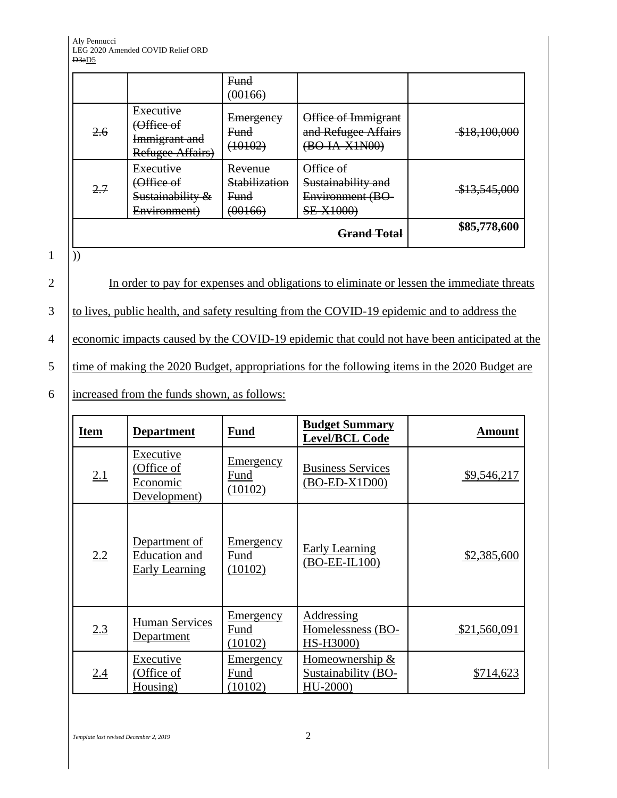|     |                                                              | Fund<br>(00166)                             |                                                                        |              |
|-----|--------------------------------------------------------------|---------------------------------------------|------------------------------------------------------------------------|--------------|
| 2.6 | Executive<br>(Office of<br>Immigrant and<br>Refugee Affairs) | Emergency<br>Fund<br>(10102)                | Office of Immigrant<br>and Refugee Affairs<br>(BO-IA-X1N00)            | \$18,100,000 |
| 2.7 | Executive<br>(Office of<br>Sustainability &<br>Environment)  | Revenue<br>Stabilization<br>Fund<br>(00166) | Office of<br>Sustainability and<br>Environment (BO<br><b>SE-X1000)</b> | \$13,545,000 |
|     |                                                              |                                             | <del>Grand Total</del>                                                 | \$85,778,600 |

 $1 \overline{\hspace{1mm} )}$ 

2 In order to pay for expenses and obligations to eliminate or lessen the immediate threats

3 to lives, public health, and safety resulting from the COVID-19 epidemic and to address the

4 economic impacts caused by the COVID-19 epidemic that could not have been anticipated at the

5 time of making the 2020 Budget, appropriations for the following items in the 2020 Budget are

6 increased from the funds shown, as follows:

| <b>Item</b> | <b>Department</b>                                       | <b>Fund</b>                         | <b>Budget Summary</b><br><b>Level/BCL Code</b>     | <u>Amount</u> |
|-------------|---------------------------------------------------------|-------------------------------------|----------------------------------------------------|---------------|
| 2.1         | Executive<br>(Office of<br>Economic<br>Development)     | <u>Emergency</u><br>Fund<br>(10102) | <b>Business Services</b><br>$(BO-ED-X1D00)$        | \$9,546,217   |
| 2.2         | Department of<br>Education and<br><b>Early Learning</b> | <u>Emergency</u><br>Fund<br>(10102) | <b>Early Learning</b><br>(BO-EE-IL100)             | \$2,385,600   |
| 2.3         | <b>Human Services</b><br>Department                     | Emergency<br>Fund<br>(10102)        | Addressing<br>Homelessness (BO-<br>HS-H3000)       | \$21,560,091  |
| 2.4         | Executive<br>(Office of<br>Housing)                     | <u>Emergency</u><br>Fund<br>(10102) | Homeownership &<br>Sustainability (BO-<br>HU-2000) | \$714,623     |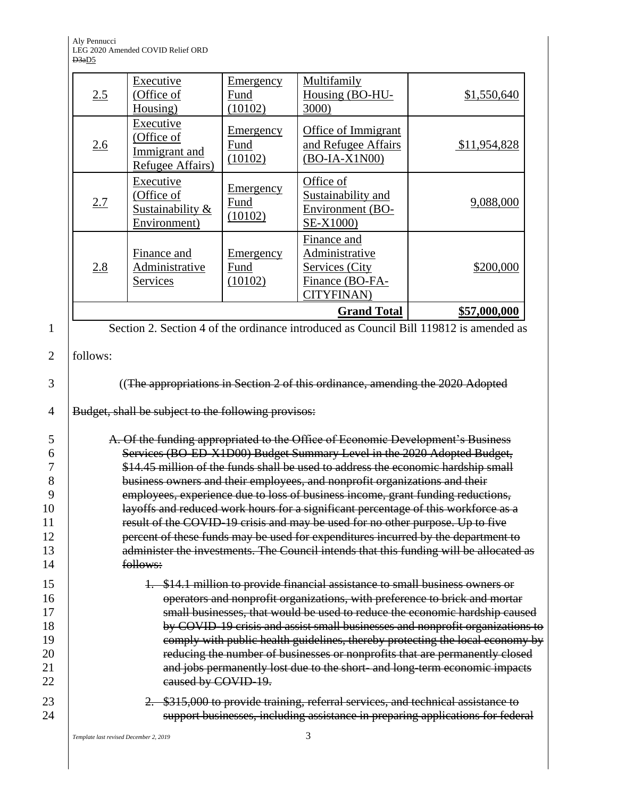Aly Pennucci LEG 2020 Amended COVID Relief ORD D3a<u>D5</u>

|                     | 2.5      | Executive<br>(Office of<br>Housing)                          | <b>Emergency</b><br>Fund<br>(10102) | Multifamily<br>Housing (BO-HU-<br>3000)                                                  | \$1,550,640                                                                            |
|---------------------|----------|--------------------------------------------------------------|-------------------------------------|------------------------------------------------------------------------------------------|----------------------------------------------------------------------------------------|
|                     | 2.6      | Executive<br>(Office of<br>Immigrant and<br>Refugee Affairs) | <b>Emergency</b><br>Fund<br>(10102) | Office of Immigrant<br>and Refugee Affairs<br>$(BO-IA-X1N00)$                            | \$11,954,828                                                                           |
|                     | 2.7      | Executive<br>(Office of<br>Sustainability &<br>Environment)  | Emergency<br>Fund<br>(10102)        | Office of<br>Sustainability and<br>Environment (BO-<br>SE-X1000)                         | 9,088,000                                                                              |
|                     | 2.8      | Finance and<br>Administrative<br>Services                    | Emergency<br>Fund<br>(10102)        | Finance and<br>Administrative<br>Services (City<br>Finance (BO-FA-<br><b>CITYFINAN</b> ) | \$200,000                                                                              |
|                     |          |                                                              |                                     | <b>Grand Total</b>                                                                       | \$57,000,000                                                                           |
| $\mathbf{1}$        |          |                                                              |                                     |                                                                                          | Section 2. Section 4 of the ordinance introduced as Council Bill 119812 is amended as  |
| $\overline{2}$<br>3 | follows: |                                                              |                                     | ((The appropriations in Section 2 of this ordinance, amending the 2020 Adopted           |                                                                                        |
| $\overline{4}$      |          | Budget, shall be subject to the following provisos:          |                                     |                                                                                          |                                                                                        |
| 5                   |          |                                                              |                                     | A. Of the funding appropriated to the Office of Economic Development's Business          |                                                                                        |
| 6                   |          |                                                              |                                     | Services (BO-ED-X1D00) Budget Summary Level in the 2020 Adopted Budget,                  |                                                                                        |
| 7                   |          |                                                              |                                     | \$14.45 million of the funds shall be used to address the economic hardship small        |                                                                                        |
| 8                   |          |                                                              |                                     | business owners and their employees, and nonprofit organizations and their               |                                                                                        |
| 9                   |          |                                                              |                                     | employees, experience due to loss of business income, grant funding reductions,          |                                                                                        |
| 10                  |          |                                                              |                                     | layoffs and reduced work hours for a significant percentage of this workforce as a       |                                                                                        |
| 11                  |          |                                                              |                                     | result of the COVID-19 crisis and may be used for no other purpose. Up to five           |                                                                                        |
| 12<br>13            |          |                                                              |                                     | percent of these funds may be used for expenditures incurred by the department to        | administer the investments. The Council intends that this funding will be allocated as |
| 14                  |          | follows:                                                     |                                     |                                                                                          |                                                                                        |
| 15                  |          |                                                              |                                     | 1. \$14.1 million to provide financial assistance to small business owners or            |                                                                                        |
| 16                  |          |                                                              |                                     |                                                                                          | operators and nonprofit organizations, with preference to brick and mortar             |
| 17                  |          |                                                              |                                     |                                                                                          | small businesses, that would be used to reduce the economic hardship caused            |
| 18                  |          |                                                              |                                     |                                                                                          | by COVID-19 crisis and assist small businesses and nonprofit organizations to          |
| 19                  |          |                                                              |                                     |                                                                                          | comply with public health guidelines, thereby protecting the local economy by          |
| 20                  |          |                                                              |                                     |                                                                                          | reducing the number of businesses or nonprofits that are permanently closed            |
| 21                  |          |                                                              |                                     |                                                                                          | and jobs permanently lost due to the short- and long-term economic impacts             |
| 22                  |          | eaused by COVID-19.                                          |                                     |                                                                                          |                                                                                        |
| 23<br>24            |          |                                                              |                                     | 2. \$315,000 to provide training, referral services, and technical assistance to         | support businesses, including assistance in preparing applications for federal         |
|                     |          |                                                              |                                     |                                                                                          |                                                                                        |

*Template last revised December 2, 2019* 3

 $14$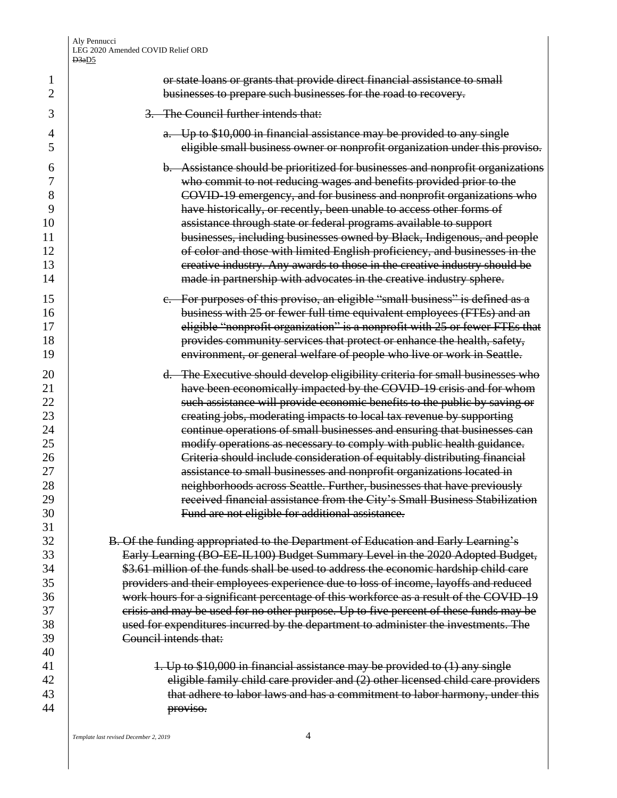**1 1** or state loans or grants that provide direct financial assistance to small **businesses to prepare such businesses for the road to recovery.** 

## 3. The Council further intends that:

**4 a.** Up to \$10,000 in financial assistance may be provided to any single eligible small business owner or nonprofit organization under this proviso.

 b. Assistance should be prioritized for businesses and nonprofit organizations who commit to not reducing wages and benefits provided prior to the COVID-19 emergency, and for business and nonprofit organizations who have historically, or recently, been unable to access other forms of **10** assistance through state or federal programs available to support **businesses, including businesses owned by Black, Indigenous, and people of color and those with limited English proficiency, and businesses in the Fractive industry.** Any awards to those in the creative industry should be 14 | made in partnership with advocates in the creative industry sphere.

15 c. For purposes of this proviso, an eligible "small business" is defined as a **business with 25 or fewer full time equivalent employees (FTEs) and an** 17 | eligible "nonprofit organization" is a nonprofit with 25 or fewer FTEs that **provides community services that protect or enhance the health, safety,** 19 | environment, or general welfare of people who live or work in Seattle.

**d.** The Executive should develop eligibility criteria for small businesses who **have been economically impacted by the COVID-19 crisis and for whom** 22 <br>**EXECUTE:** Such assistance will provide economic benefits to the public by saving or 23 23 creating jobs, moderating impacts to local tax revenue by supporting **Fig. 24** continue operations of small businesses and ensuring that businesses can modify operations as necessary to comply with public health guidance. 26 | Criteria should include consideration of equitably distributing financial 27 assistance to small businesses and nonprofit organizations located in 28 | neighborhoods across Seattle. Further, businesses that have previously 29 | received financial assistance from the City's Small Business Stabilization Fund are not eligible for additional assistance.

**B.** Of the funding appropriated to the Department of Education and Early Learning's 33 | Early Learning (BO-EE-IL100) Budget Summary Level in the 2020 Adopted Budget, **31 31** \$3.61 million of the funds shall be used to address the economic hardship child care providers and their employees experience due to loss of income, layoffs and reduced 36 work hours for a significant percentage of this workforce as a result of the COVID-19 37 crisis and may be used for no other purpose. Up to five percent of these funds may be 38 38 asset for expenditures incurred by the department to administer the investments. The Council intends that:

**1. Up to \$10,000 in financial assistance may be provided to (1) any single** 42 eligible family child care provider and (2) other licensed child care providers **that adhere to labor laws and has a commitment to labor harmony, under this** proviso.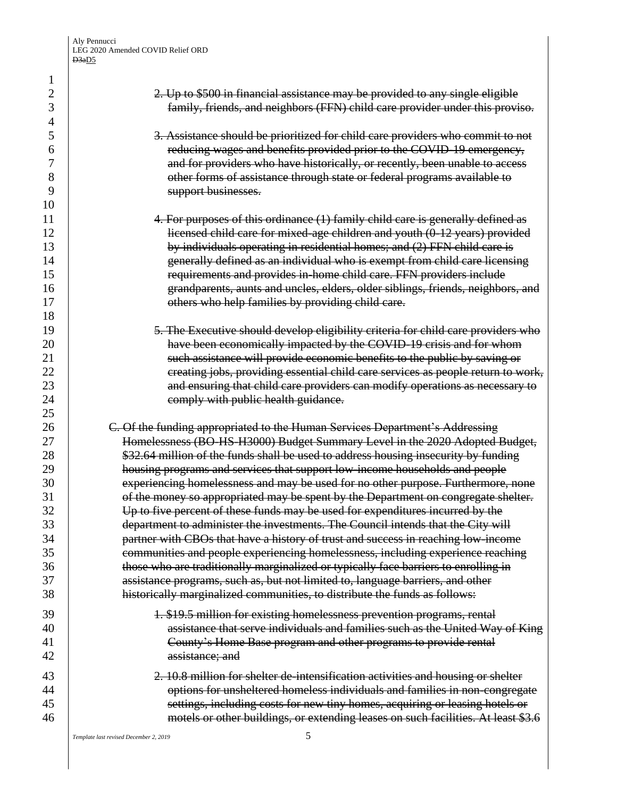2 2. Up to \$500 in financial assistance may be provided to any single eligible family, friends, and neighbors (FFN) child care provider under this proviso. 3. Assistance should be prioritized for child care providers who commit to not reducing wages and benefits provided prior to the COVID-19 emergency, and for providers who have historically, or recently, been unable to access **b** other forms of assistance through state or federal programs available to 9 | support businesses. 11 1 **4. For purposes of this ordinance (1) family child care is generally defined as**  licensed child care for mixed-age children and youth (0-12 years) provided 13 by individuals operating in residential homes; and (2) FFN child care is generally defined as an individual who is exempt from child care licensing requirements and provides in-home child care. FFN providers include grandparents, aunts and uncles, elders, older siblings, friends, neighbors, and **Solution** 17 others who help families by providing child care. 19 19 10 5. The Executive should develop eligibility criteria for child care providers who **have been economically impacted by the COVID-19 crisis and for whom Such assistance will provide economic benefits to the public by saving or Figure 22** creating jobs, providing essential child care services as people return to work, 23 and ensuring that child care providers can modify operations as necessary to **24 comply with public health guidance. C.** Of the funding appropriated to the Human Services Department's Addressing Homelessness (BO-HS-H3000) Budget Summary Level in the 2020 Adopted Budget, **1** \$32.64 million of the funds shall be used to address housing insecurity by funding housing programs and services that support low-income households and people 30 experiencing homelessness and may be used for no other purpose. Furthermore, none **Solution** of the money so appropriated may be spent by the Department on congregate shelter. 32 Up to five percent of these funds may be used for expenditures incurred by the department to administer the investments. The Council intends that the City will **Fraching 1** partner with CBOs that have a history of trust and success in reaching low-income communities and people experiencing homelessness, including experience reaching **those who are traditionally marginalized or typically face barriers to enrolling in Solution** assistance programs, such as, but not limited to, language barriers, and other **historically marginalized communities, to distribute the funds as follows:** 39 | 1. \$19.5 million for existing homelessness prevention programs, rental **40 EXECUTE:** assistance that serve individuals and families such as the United Way of King 41 | County's Home Base program and other programs to provide rental 42 assistance; and 43 | 2. 10.8 million for shelter de-intensification activities and housing or shelter **decisy of the state of the state of the state of the state of the state of the state of the state of the state of the state of the state of the state of the state of the state of the state of the state of the state of**  settings, including costs for new tiny homes, acquiring or leasing hotels or **motels or other buildings, or extending leases on such facilities. At least \$3.6**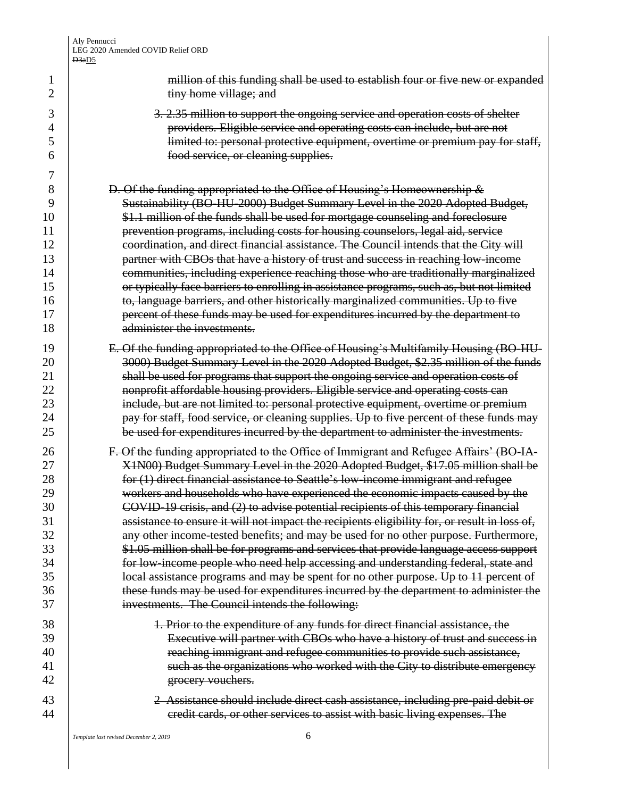1 million of this funding shall be used to establish four or five new or expanded **b** tiny home village; and 3 3. 2.35 million to support the ongoing service and operation costs of shelter providers. Eligible service and operating costs can include, but are not limited to: personal protective equipment, overtime or premium pay for staff, food service, or cleaning supplies. 8 B. Of the funding appropriated to the Office of Housing's Homeownership  $\&$ 9 Sustainability (BO-HU-2000) Budget Summary Level in the 2020 Adopted Budget, **\$1.1 million of the funds shall be used for mortgage counseling and foreclosure prevention programs, including costs for housing counselors, legal aid, service coordination, and direct financial assistance. The Council intends that the City will partner with CBOs that have a history of trust and success in reaching low-income Fig. 2.1** communities, including experience reaching those who are traditionally marginalized **Fig. 2.1** or typically face barriers to enrolling in assistance programs, such as, but not limited **to, language barriers, and other historically marginalized communities. Up to five percent of these funds may be used for expenditures incurred by the department to** 18 administer the investments. 19 | E. Of the funding appropriated to the Office of Housing's Multifamily Housing (BO-HU-**3000**) Budget Summary Level in the 2020 Adopted Budget, \$2.35 million of the funds **Shall be used for programs that support the ongoing service and operation costs of nonprofit affordable housing providers. Eligible service and operating costs can** 23 include, but are not limited to: personal protective equipment, overtime or premium **pay for staff, food service, or cleaning supplies. Up to five percent of these funds may**  be used for expenditures incurred by the department to administer the investments. **F.** Of the funding appropriated to the Office of Immigrant and Refugee Affairs' (BO-IA-27 X1N00) Budget Summary Level in the 2020 Adopted Budget, \$17.05 million shall be **for (1)** direct financial assistance to Seattle's low-income immigrant and refugee workers and households who have experienced the economic impacts caused by the 30 COVID-19 crisis, and (2) to advise potential recipients of this temporary financial 31 31 assistance to ensure it will not impact the recipients eligibility for, or result in loss of, 32 any other income-tested benefits; and may be used for no other purpose. Furthermore, \$1.05 million shall be for programs and services that provide language access support **For low-income people who need help accessing and understanding federal, state and lease** 35 **local assistance programs and may be spent for no other purpose. Up to 11 percent of these funds may be used for expenditures incurred by the department to administer the**  investments. The Council intends the following: 38 1. Prior to the expenditure of any funds for direct financial assistance, the Executive will partner with CBOs who have a history of trust and success in 40 | reaching immigrant and refugee communities to provide such assistance, 41 | such as the organizations who worked with the City to distribute emergency 42 | grocery vouchers. 2 Assistance should include direct cash assistance, including pre-paid debit or **Figure 1** credit cards, or other services to assist with basic living expenses. The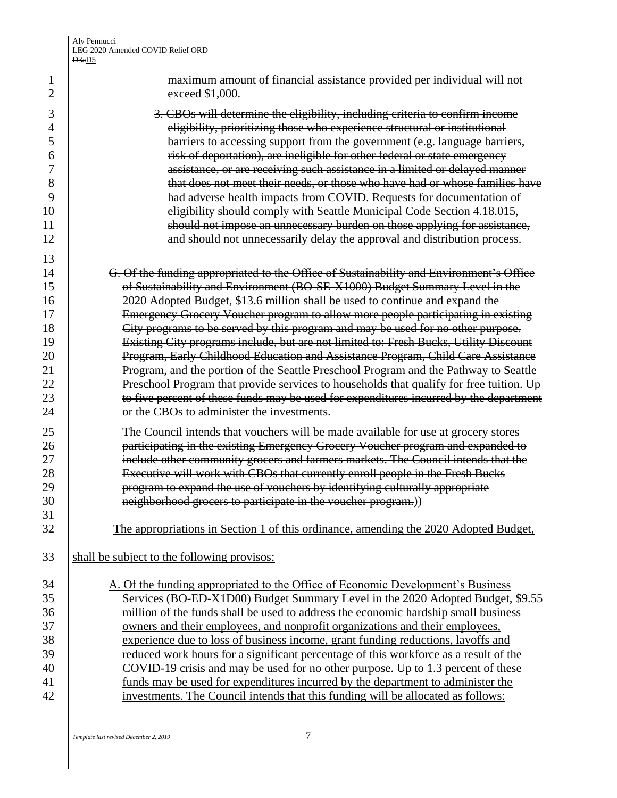| 1<br>2   | maximum amount of financial assistance provided per individual will not<br>exceed \$1,000.                                                                           |
|----------|----------------------------------------------------------------------------------------------------------------------------------------------------------------------|
| 3        | 3. CBOs will determine the eligibility, including criteria to confirm income                                                                                         |
| 4        | eligibility, prioritizing those who experience structural or institutional                                                                                           |
| 5        | barriers to accessing support from the government (e.g. language barriers,                                                                                           |
| 6        | risk of deportation), are ineligible for other federal or state emergency                                                                                            |
| 7        | assistance, or are receiving such assistance in a limited or delayed manner                                                                                          |
| 8        | that does not meet their needs, or those who have had or whose families have                                                                                         |
| 9        | had adverse health impacts from COVID. Requests for documentation of                                                                                                 |
| 10       | eligibility should comply with Seattle Municipal Code Section 4.18.015,                                                                                              |
| 11       | should not impose an unnecessary burden on those applying for assistance,                                                                                            |
| 12       | and should not unnecessarily delay the approval and distribution process.                                                                                            |
|          |                                                                                                                                                                      |
| 13       |                                                                                                                                                                      |
| 14       | G. Of the funding appropriated to the Office of Sustainability and Environment's Office                                                                              |
| 15       | of Sustainability and Environment (BO-SE-X1000) Budget Summary Level in the                                                                                          |
| 16       | 2020 Adopted Budget, \$13.6 million shall be used to continue and expand the                                                                                         |
| 17<br>18 | Emergency Grocery Voucher program to allow more people participating in existing<br>City programs to be served by this program and may be used for no other purpose. |
| 19       | Existing City programs include, but are not limited to: Fresh Bucks, Utility Discount                                                                                |
| 20       | Program, Early Childhood Education and Assistance Program, Child Care Assistance                                                                                     |
| 21       | Program, and the portion of the Seattle Preschool Program and the Pathway to Seattle                                                                                 |
| 22       | Preschool Program that provide services to households that qualify for free tuition. Up                                                                              |
| 23       | to five percent of these funds may be used for expenditures incurred by the department                                                                               |
| 24       | or the CBOs to administer the investments.                                                                                                                           |
|          |                                                                                                                                                                      |
| 25       | The Council intends that vouchers will be made available for use at grocery stores                                                                                   |
| 26       | participating in the existing Emergency Grocery Voucher program and expanded to                                                                                      |
| 27       | include other community grocers and farmers markets. The Council intends that the                                                                                    |
| 28       | Executive will work with CBOs that currently enroll people in the Fresh Bucks                                                                                        |
| 29       | program to expand the use of vouchers by identifying culturally appropriate                                                                                          |
| 30       | neighborhood grocers to participate in the voucher program.))                                                                                                        |
| 31       |                                                                                                                                                                      |
| 32       | The appropriations in Section 1 of this ordinance, amending the 2020 Adopted Budget,                                                                                 |
| 33       | shall be subject to the following provisos:                                                                                                                          |
| 34       | A. Of the funding appropriated to the Office of Economic Development's Business                                                                                      |
| 35       | Services (BO-ED-X1D00) Budget Summary Level in the 2020 Adopted Budget, \$9.55                                                                                       |
| 36       | million of the funds shall be used to address the economic hardship small business                                                                                   |
| 37       | owners and their employees, and nonprofit organizations and their employees,                                                                                         |
| 38       | experience due to loss of business income, grant funding reductions, layoffs and                                                                                     |
| 39       | reduced work hours for a significant percentage of this workforce as a result of the                                                                                 |
| 40       | COVID-19 crisis and may be used for no other purpose. Up to 1.3 percent of these                                                                                     |
| 41       | funds may be used for expenditures incurred by the department to administer the                                                                                      |
| 42       | investments. The Council intends that this funding will be allocated as follows:                                                                                     |
|          |                                                                                                                                                                      |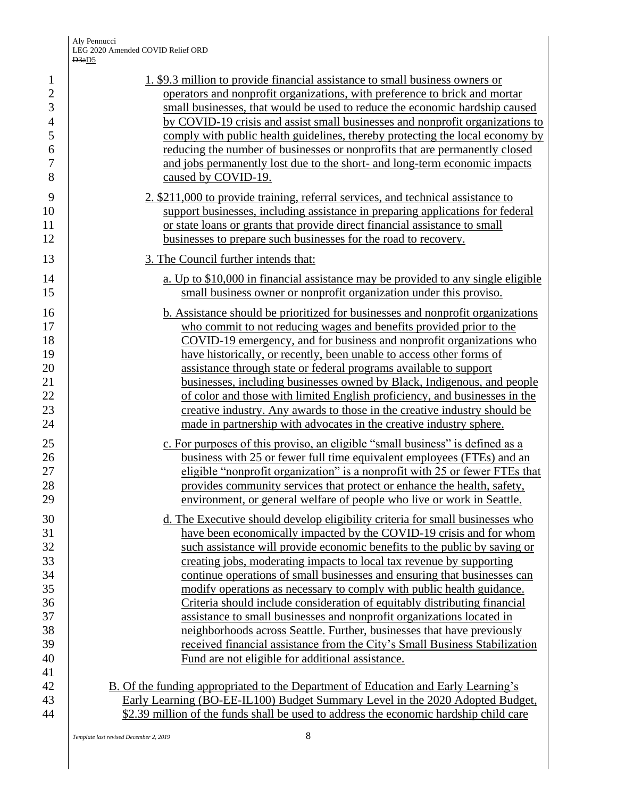| $\mathbf{1}$                                                         | 1. \$9.3 million to provide financial assistance to small business owners or                                                                                                                                                                                                                                                                                                                                                                                                                                                                                                                                                                                                                                                                                                                                                     |
|----------------------------------------------------------------------|----------------------------------------------------------------------------------------------------------------------------------------------------------------------------------------------------------------------------------------------------------------------------------------------------------------------------------------------------------------------------------------------------------------------------------------------------------------------------------------------------------------------------------------------------------------------------------------------------------------------------------------------------------------------------------------------------------------------------------------------------------------------------------------------------------------------------------|
| $\overline{2}$                                                       | operators and nonprofit organizations, with preference to brick and mortar                                                                                                                                                                                                                                                                                                                                                                                                                                                                                                                                                                                                                                                                                                                                                       |
| $\mathfrak{Z}$                                                       | small businesses, that would be used to reduce the economic hardship caused                                                                                                                                                                                                                                                                                                                                                                                                                                                                                                                                                                                                                                                                                                                                                      |
| $\overline{4}$                                                       | by COVID-19 crisis and assist small businesses and nonprofit organizations to                                                                                                                                                                                                                                                                                                                                                                                                                                                                                                                                                                                                                                                                                                                                                    |
| 5                                                                    | comply with public health guidelines, thereby protecting the local economy by                                                                                                                                                                                                                                                                                                                                                                                                                                                                                                                                                                                                                                                                                                                                                    |
| 6                                                                    | reducing the number of businesses or nonprofits that are permanently closed                                                                                                                                                                                                                                                                                                                                                                                                                                                                                                                                                                                                                                                                                                                                                      |
| $\boldsymbol{7}$                                                     | and jobs permanently lost due to the short- and long-term economic impacts                                                                                                                                                                                                                                                                                                                                                                                                                                                                                                                                                                                                                                                                                                                                                       |
| 8                                                                    | caused by COVID-19.                                                                                                                                                                                                                                                                                                                                                                                                                                                                                                                                                                                                                                                                                                                                                                                                              |
| 9                                                                    | 2. \$211,000 to provide training, referral services, and technical assistance to                                                                                                                                                                                                                                                                                                                                                                                                                                                                                                                                                                                                                                                                                                                                                 |
| 10                                                                   | support businesses, including assistance in preparing applications for federal                                                                                                                                                                                                                                                                                                                                                                                                                                                                                                                                                                                                                                                                                                                                                   |
| 11                                                                   | or state loans or grants that provide direct financial assistance to small                                                                                                                                                                                                                                                                                                                                                                                                                                                                                                                                                                                                                                                                                                                                                       |
| 12                                                                   | businesses to prepare such businesses for the road to recovery.                                                                                                                                                                                                                                                                                                                                                                                                                                                                                                                                                                                                                                                                                                                                                                  |
| 13                                                                   | 3. The Council further intends that:                                                                                                                                                                                                                                                                                                                                                                                                                                                                                                                                                                                                                                                                                                                                                                                             |
| 14                                                                   | a. Up to \$10,000 in financial assistance may be provided to any single eligible                                                                                                                                                                                                                                                                                                                                                                                                                                                                                                                                                                                                                                                                                                                                                 |
| 15                                                                   | small business owner or nonprofit organization under this proviso.                                                                                                                                                                                                                                                                                                                                                                                                                                                                                                                                                                                                                                                                                                                                                               |
| 16                                                                   | <b>b.</b> Assistance should be prioritized for businesses and nonprofit organizations                                                                                                                                                                                                                                                                                                                                                                                                                                                                                                                                                                                                                                                                                                                                            |
| 17                                                                   | who commit to not reducing wages and benefits provided prior to the                                                                                                                                                                                                                                                                                                                                                                                                                                                                                                                                                                                                                                                                                                                                                              |
| 18                                                                   | COVID-19 emergency, and for business and nonprofit organizations who                                                                                                                                                                                                                                                                                                                                                                                                                                                                                                                                                                                                                                                                                                                                                             |
| 19                                                                   | have historically, or recently, been unable to access other forms of                                                                                                                                                                                                                                                                                                                                                                                                                                                                                                                                                                                                                                                                                                                                                             |
| 20                                                                   | assistance through state or federal programs available to support                                                                                                                                                                                                                                                                                                                                                                                                                                                                                                                                                                                                                                                                                                                                                                |
| 21                                                                   | businesses, including businesses owned by Black, Indigenous, and people                                                                                                                                                                                                                                                                                                                                                                                                                                                                                                                                                                                                                                                                                                                                                          |
| 22                                                                   | of color and those with limited English proficiency, and businesses in the                                                                                                                                                                                                                                                                                                                                                                                                                                                                                                                                                                                                                                                                                                                                                       |
| 23                                                                   | creative industry. Any awards to those in the creative industry should be                                                                                                                                                                                                                                                                                                                                                                                                                                                                                                                                                                                                                                                                                                                                                        |
| 24                                                                   | made in partnership with advocates in the creative industry sphere.                                                                                                                                                                                                                                                                                                                                                                                                                                                                                                                                                                                                                                                                                                                                                              |
| 25                                                                   | c. For purposes of this proviso, an eligible "small business" is defined as a                                                                                                                                                                                                                                                                                                                                                                                                                                                                                                                                                                                                                                                                                                                                                    |
| 26                                                                   | business with 25 or fewer full time equivalent employees (FTEs) and an                                                                                                                                                                                                                                                                                                                                                                                                                                                                                                                                                                                                                                                                                                                                                           |
| 27                                                                   | eligible "nonprofit organization" is a nonprofit with 25 or fewer FTEs that                                                                                                                                                                                                                                                                                                                                                                                                                                                                                                                                                                                                                                                                                                                                                      |
| 28                                                                   | provides community services that protect or enhance the health, safety,                                                                                                                                                                                                                                                                                                                                                                                                                                                                                                                                                                                                                                                                                                                                                          |
| 29                                                                   | environment, or general welfare of people who live or work in Seattle.                                                                                                                                                                                                                                                                                                                                                                                                                                                                                                                                                                                                                                                                                                                                                           |
| 30<br>31<br>32<br>33<br>34<br>35<br>36<br>37<br>38<br>39<br>40<br>41 | d. The Executive should develop eligibility criteria for small businesses who<br>have been economically impacted by the COVID-19 crisis and for whom<br>such assistance will provide economic benefits to the public by saving or<br>creating jobs, moderating impacts to local tax revenue by supporting<br>continue operations of small businesses and ensuring that businesses can<br>modify operations as necessary to comply with public health guidance.<br>Criteria should include consideration of equitably distributing financial<br>assistance to small businesses and nonprofit organizations located in<br>neighborhoods across Seattle. Further, businesses that have previously<br>received financial assistance from the City's Small Business Stabilization<br>Fund are not eligible for additional assistance. |
| 42                                                                   | B. Of the funding appropriated to the Department of Education and Early Learning's                                                                                                                                                                                                                                                                                                                                                                                                                                                                                                                                                                                                                                                                                                                                               |
| 43                                                                   | Early Learning (BO-EE-IL100) Budget Summary Level in the 2020 Adopted Budget,                                                                                                                                                                                                                                                                                                                                                                                                                                                                                                                                                                                                                                                                                                                                                    |
| 44                                                                   | \$2.39 million of the funds shall be used to address the economic hardship child care                                                                                                                                                                                                                                                                                                                                                                                                                                                                                                                                                                                                                                                                                                                                            |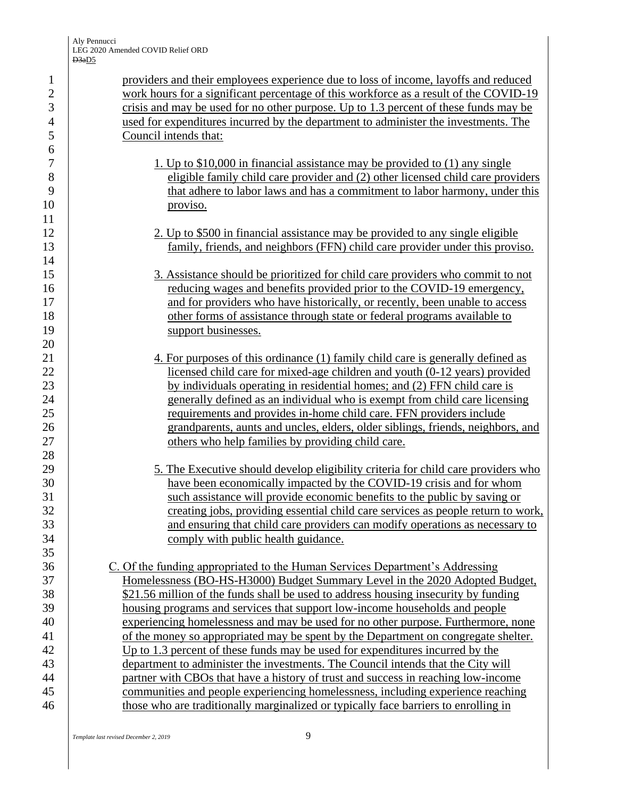providers and their employees experience due to loss of income, layoffs and reduced 2 work hours for a significant percentage of this workforce as a result of the COVID-19 crisis and may be used for no other purpose. Up to 1.3 percent of these funds may be used for expenditures incurred by the department to administer the investments. The Council intends that:

- 1. Up to \$10,000 in financial assistance may be provided to (1) any single eligible family child care provider and (2) other licensed child care providers that adhere to labor laws and has a commitment to labor harmony, under this proviso.
- 12 2. Up to \$500 in financial assistance may be provided to any single eligible family, friends, and neighbors (FFN) child care provider under this proviso.
- 3. Assistance should be prioritized for child care providers who commit to not reducing wages and benefits provided prior to the COVID-19 emergency, 17 and for providers who have historically, or recently, been unable to access 18 other forms of assistance through state or federal programs available to 19 support businesses.
- 21 4. For purposes of this ordinance (1) family child care is generally defined as licensed child care for mixed-age children and youth (0-12 years) provided by individuals operating in residential homes; and (2) FFN child care is generally defined as an individual who is exempt from child care licensing **requirements and provides in-home child care. FFN providers include**  grandparents, aunts and uncles, elders, older siblings, friends, neighbors, and 27 Community of the state of the families by providing child care.
- 29 3. The Executive should develop eligibility criteria for child care providers who have been economically impacted by the COVID-19 crisis and for whom such assistance will provide economic benefits to the public by saving or 32 creating jobs, providing essential child care services as people return to work, and ensuring that child care providers can modify operations as necessary to **comply with public health guidance.**

 C. Of the funding appropriated to the Human Services Department's Addressing 37 | Homelessness (BO-HS-H3000) Budget Summary Level in the 2020 Adopted Budget, 38 <br>\$21.56 million of the funds shall be used to address housing insecurity by funding housing programs and services that support low-income households and people experiencing homelessness and may be used for no other purpose. Furthermore, none 41 of the money so appropriated may be spent by the Department on congregate shelter. Up to 1.3 percent of these funds may be used for expenditures incurred by the department to administer the investments. The Council intends that the City will partner with CBOs that have a history of trust and success in reaching low-income communities and people experiencing homelessness, including experience reaching 46 those who are traditionally marginalized or typically face barriers to enrolling in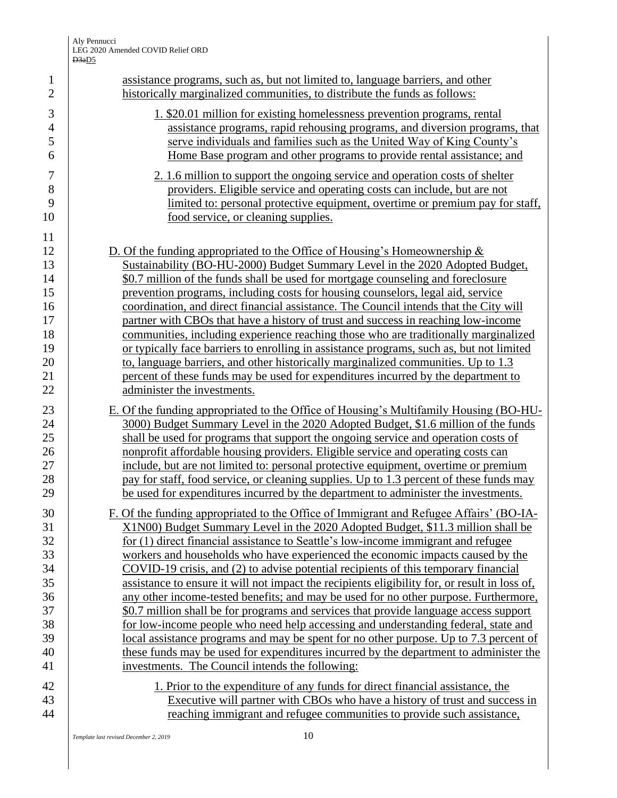| $\mathbf{1}$<br>$\overline{2}$ | assistance programs, such as, but not limited to, language barriers, and other<br>historically marginalized communities, to distribute the funds as follows:             |
|--------------------------------|--------------------------------------------------------------------------------------------------------------------------------------------------------------------------|
|                                |                                                                                                                                                                          |
| 3                              | 1. \$20.01 million for existing homelessness prevention programs, rental                                                                                                 |
| $\overline{4}$                 | assistance programs, rapid rehousing programs, and diversion programs, that                                                                                              |
| 5                              | serve individuals and families such as the United Way of King County's                                                                                                   |
| 6                              | Home Base program and other programs to provide rental assistance; and                                                                                                   |
| $\boldsymbol{7}$               | 2. 1.6 million to support the ongoing service and operation costs of shelter                                                                                             |
| 8                              | providers. Eligible service and operating costs can include, but are not                                                                                                 |
| 9                              | limited to: personal protective equipment, overtime or premium pay for staff,                                                                                            |
| 10                             | food service, or cleaning supplies.                                                                                                                                      |
| 11                             |                                                                                                                                                                          |
| 12                             | D. Of the funding appropriated to the Office of Housing's Homeownership $\&$                                                                                             |
| 13                             | Sustainability (BO-HU-2000) Budget Summary Level in the 2020 Adopted Budget,                                                                                             |
| 14                             | \$0.7 million of the funds shall be used for mortgage counseling and foreclosure                                                                                         |
| 15                             | prevention programs, including costs for housing counselors, legal aid, service                                                                                          |
| 16                             | coordination, and direct financial assistance. The Council intends that the City will                                                                                    |
| 17                             | partner with CBOs that have a history of trust and success in reaching low-income<br>communities, including experience reaching those who are traditionally marginalized |
| 18<br>19                       | or typically face barriers to enrolling in assistance programs, such as, but not limited                                                                                 |
| 20                             | to, language barriers, and other historically marginalized communities. Up to 1.3                                                                                        |
| 21                             | percent of these funds may be used for expenditures incurred by the department to                                                                                        |
| 22                             | administer the investments.                                                                                                                                              |
|                                | E. Of the funding appropriated to the Office of Housing's Multifamily Housing (BO-HU-                                                                                    |
| 23<br>24                       | 3000) Budget Summary Level in the 2020 Adopted Budget, \$1.6 million of the funds                                                                                        |
| 25                             | shall be used for programs that support the ongoing service and operation costs of                                                                                       |
| 26                             | nonprofit affordable housing providers. Eligible service and operating costs can                                                                                         |
| 27                             | include, but are not limited to: personal protective equipment, overtime or premium                                                                                      |
| 28                             | pay for staff, food service, or cleaning supplies. Up to 1.3 percent of these funds may                                                                                  |
| 29                             | be used for expenditures incurred by the department to administer the investments.                                                                                       |
| 30                             | F. Of the funding appropriated to the Office of Immigrant and Refugee Affairs' (BO-IA-                                                                                   |
| 31                             | X1N00) Budget Summary Level in the 2020 Adopted Budget, \$11.3 million shall be                                                                                          |
| 32                             | for (1) direct financial assistance to Seattle's low-income immigrant and refugee                                                                                        |
| 33                             | workers and households who have experienced the economic impacts caused by the                                                                                           |
| 34                             | COVID-19 crisis, and (2) to advise potential recipients of this temporary financial                                                                                      |
| 35                             | assistance to ensure it will not impact the recipients eligibility for, or result in loss of,                                                                            |
| 36                             | any other income-tested benefits; and may be used for no other purpose. Furthermore,                                                                                     |
| 37                             | \$0.7 million shall be for programs and services that provide language access support                                                                                    |
| 38                             | for low-income people who need help accessing and understanding federal, state and                                                                                       |
| 39                             | local assistance programs and may be spent for no other purpose. Up to 7.3 percent of                                                                                    |
| 40                             | these funds may be used for expenditures incurred by the department to administer the                                                                                    |
| 41                             | investments. The Council intends the following:                                                                                                                          |
| 42                             | 1. Prior to the expenditure of any funds for direct financial assistance, the                                                                                            |
| 43                             | Executive will partner with CBOs who have a history of trust and success in                                                                                              |
| 44                             | reaching immigrant and refugee communities to provide such assistance,                                                                                                   |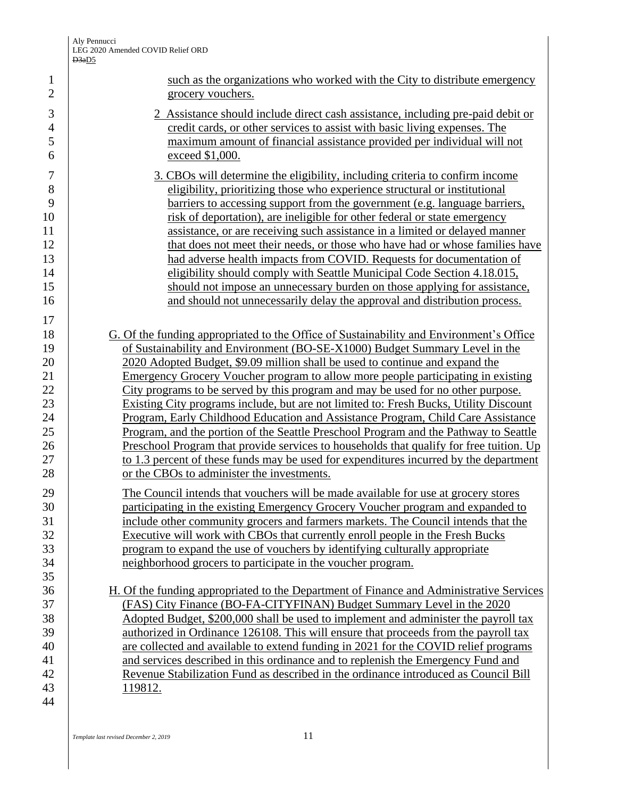|                                                                      | <b>D</b> Super                                                                                                                                                                                                                                                                                                                                                                                                                                                                                                                                                                                                                                                                                                                                                                                                                                                                                                                               |
|----------------------------------------------------------------------|----------------------------------------------------------------------------------------------------------------------------------------------------------------------------------------------------------------------------------------------------------------------------------------------------------------------------------------------------------------------------------------------------------------------------------------------------------------------------------------------------------------------------------------------------------------------------------------------------------------------------------------------------------------------------------------------------------------------------------------------------------------------------------------------------------------------------------------------------------------------------------------------------------------------------------------------|
| $\mathbf{1}$<br>$\overline{2}$                                       | such as the organizations who worked with the City to distribute emergency<br>grocery vouchers.                                                                                                                                                                                                                                                                                                                                                                                                                                                                                                                                                                                                                                                                                                                                                                                                                                              |
| $\mathfrak{Z}$<br>$\overline{4}$<br>5<br>6                           | 2 Assistance should include direct cash assistance, including pre-paid debit or<br>credit cards, or other services to assist with basic living expenses. The<br>maximum amount of financial assistance provided per individual will not<br>exceed \$1,000.                                                                                                                                                                                                                                                                                                                                                                                                                                                                                                                                                                                                                                                                                   |
| $\boldsymbol{7}$<br>8<br>9<br>10<br>11<br>12<br>13<br>14<br>15<br>16 | 3. CBOs will determine the eligibility, including criteria to confirm income<br>eligibility, prioritizing those who experience structural or institutional<br>barriers to accessing support from the government (e.g. language barriers,<br>risk of deportation), are ineligible for other federal or state emergency<br>assistance, or are receiving such assistance in a limited or delayed manner<br>that does not meet their needs, or those who have had or whose families have<br>had adverse health impacts from COVID. Requests for documentation of<br>eligibility should comply with Seattle Municipal Code Section 4.18.015,<br>should not impose an unnecessary burden on those applying for assistance,<br>and should not unnecessarily delay the approval and distribution process.                                                                                                                                            |
| 17<br>18<br>19<br>20<br>21<br>22<br>23<br>24<br>25<br>26<br>27<br>28 | G. Of the funding appropriated to the Office of Sustainability and Environment's Office<br>of Sustainability and Environment (BO-SE-X1000) Budget Summary Level in the<br>2020 Adopted Budget, \$9.09 million shall be used to continue and expand the<br>Emergency Grocery Voucher program to allow more people participating in existing<br>City programs to be served by this program and may be used for no other purpose.<br>Existing City programs include, but are not limited to: Fresh Bucks, Utility Discount<br>Program, Early Childhood Education and Assistance Program, Child Care Assistance<br>Program, and the portion of the Seattle Preschool Program and the Pathway to Seattle<br><u>Preschool Program that provide services to households that qualify for free tuition. Up</u><br>to 1.3 percent of these funds may be used for expenditures incurred by the department<br>or the CBOs to administer the investments. |
| 29<br>30<br>31<br>32<br>33<br>34<br>35                               | The Council intends that vouchers will be made available for use at grocery stores<br>participating in the existing Emergency Grocery Voucher program and expanded to<br>include other community grocers and farmers markets. The Council intends that the<br>Executive will work with CBOs that currently enroll people in the Fresh Bucks<br>program to expand the use of vouchers by identifying culturally appropriate<br>neighborhood grocers to participate in the voucher program.                                                                                                                                                                                                                                                                                                                                                                                                                                                    |
| 36<br>37<br>38<br>39<br>40<br>41<br>42<br>43<br>44                   | H. Of the funding appropriated to the Department of Finance and Administrative Services<br>(FAS) City Finance (BO-FA-CITYFINAN) Budget Summary Level in the 2020<br>Adopted Budget, \$200,000 shall be used to implement and administer the payroll tax<br>authorized in Ordinance 126108. This will ensure that proceeds from the payroll tax<br>are collected and available to extend funding in 2021 for the COVID relief programs<br>and services described in this ordinance and to replenish the Emergency Fund and<br>Revenue Stabilization Fund as described in the ordinance introduced as Council Bill<br>119812.                                                                                                                                                                                                                                                                                                                  |
|                                                                      |                                                                                                                                                                                                                                                                                                                                                                                                                                                                                                                                                                                                                                                                                                                                                                                                                                                                                                                                              |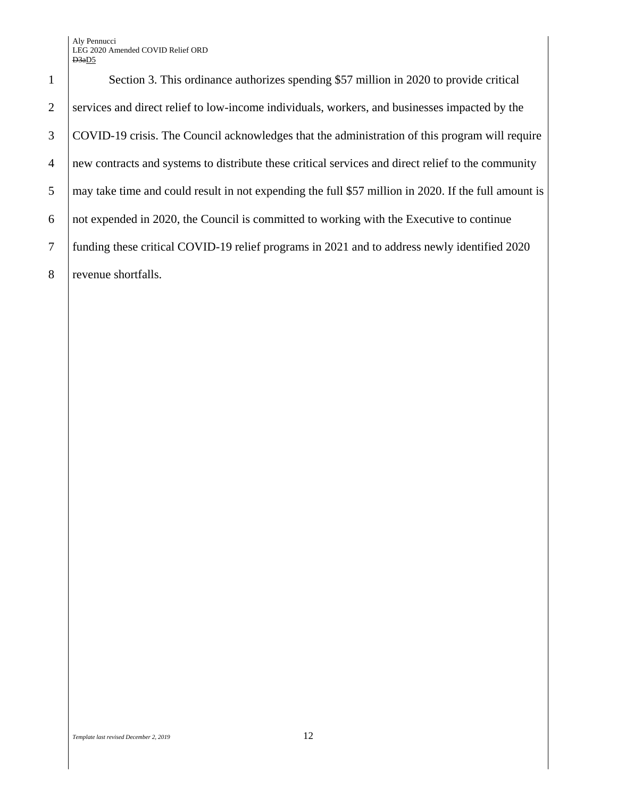## Aly Pennucci LEG 2020 Amended COVID Relief ORD  $D3aD5$

1 Section 3. This ordinance authorizes spending \$57 million in 2020 to provide critical 2 Services and direct relief to low-income individuals, workers, and businesses impacted by the 3 COVID-19 crisis. The Council acknowledges that the administration of this program will require 4 new contracts and systems to distribute these critical services and direct relief to the community 5 may take time and could result in not expending the full \$57 million in 2020. If the full amount is  $\overline{6}$  | not expended in 2020, the Council is committed to working with the Executive to continue 7 funding these critical COVID-19 relief programs in 2021 and to address newly identified 2020 8 revenue shortfalls.